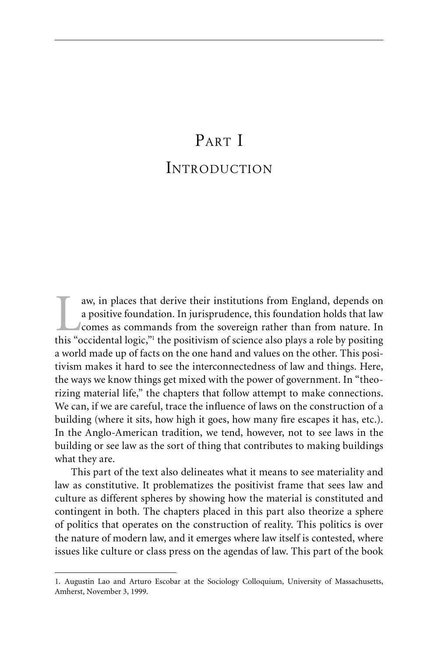## PART I **INTRODUCTION**

aw, in places that derive their institutions from England, depends on<br>a positive foundation. In jurisprudence, this foundation holds that law<br>comes as commands from the sovereign rather than from nature. In<br>this "occidenta a positive foundation. In jurisprudence, this foundation holds that law comes as commands from the sovereign rather than from nature. In this "occidental logic,"1 the positivism of science also plays a role by positing a world made up of facts on the one hand and values on the other. This positivism makes it hard to see the interconnectedness of law and things. Here, the ways we know things get mixed with the power of government. In "theorizing material life," the chapters that follow attempt to make connections. We can, if we are careful, trace the influence of laws on the construction of a building (where it sits, how high it goes, how many fire escapes it has, etc.). In the Anglo-American tradition, we tend, however, not to see laws in the building or see law as the sort of thing that contributes to making buildings what they are.

This part of the text also delineates what it means to see materiality and law as constitutive. It problematizes the positivist frame that sees law and culture as different spheres by showing how the material is constituted and contingent in both. The chapters placed in this part also theorize a sphere of politics that operates on the construction of reality. This politics is over the nature of modern law, and it emerges where law itself is contested, where issues like culture or class press on the agendas of law. This part of the book

<sup>1.</sup> Augustin Lao and Arturo Escobar at the Sociology Colloquium, University of Massachusetts, Amherst, November 3, 1999.